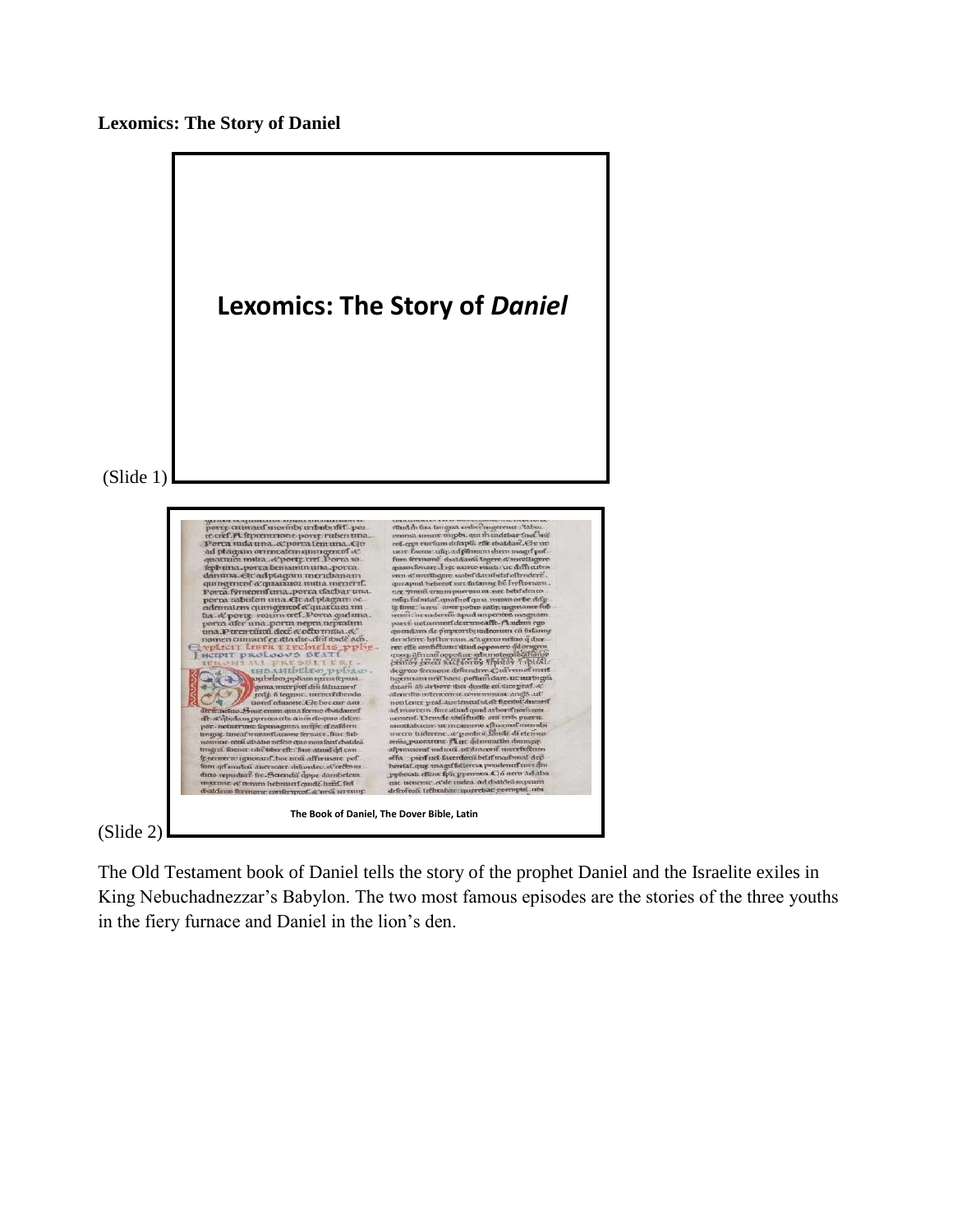



The Old Testament book of Daniel tells the story of the prophet Daniel and the Israelite exiles in King Nebuchadnezzar's Babylon. The two most famous episodes are the stories of the three youths in the fiery furnace and Daniel in the lion's den.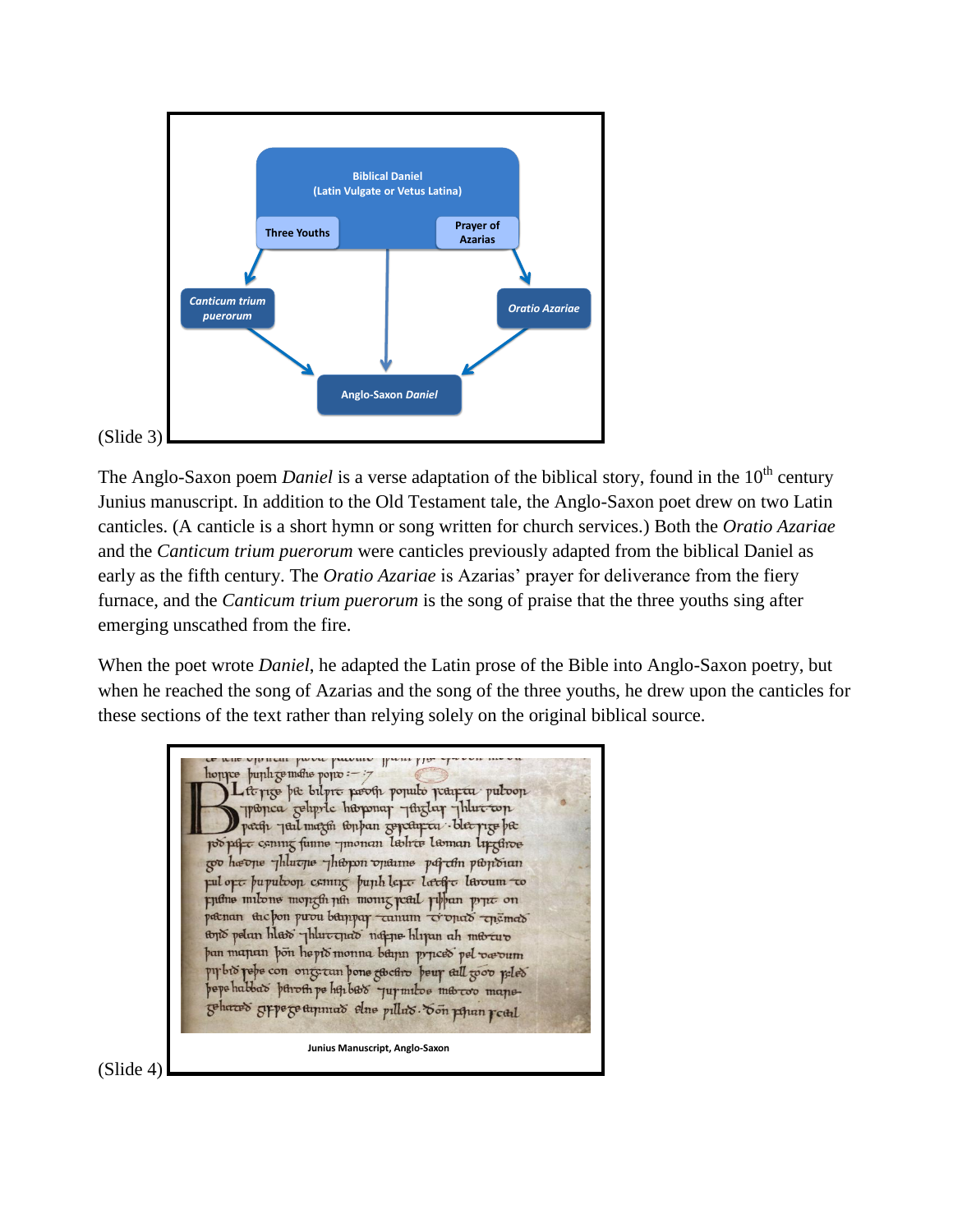

The Anglo-Saxon poem *Daniel* is a verse adaptation of the biblical story, found in the 10<sup>th</sup> century Junius manuscript. In addition to the Old Testament tale, the Anglo-Saxon poet drew on two Latin canticles. (A canticle is a short hymn or song written for church services.) Both the *Oratio Azariae*  and the *Canticum trium puerorum* were canticles previously adapted from the biblical Daniel as early as the fifth century. The *Oratio Azariae* is Azarias' prayer for deliverance from the fiery furnace, and the *Canticum trium puerorum* is the song of praise that the three youths sing after emerging unscathed from the fire.

When the poet wrote *Daniel*, he adapted the Latin prose of the Bible into Anglo-Saxon poetry, but when he reached the song of Azarias and the song of the three youths, he drew upon the canticles for these sections of the text rather than relying solely on the original biblical source.

hoppe buph gemethe popo :-: Lite rice bie bilpre pooth populo pearta pulvon propica geoppic hisponar ythglar yhlut top path Jul mazon toppan zopeturta ble pizo bæ po pare coming funne -monan labre laman lipginoe co heone phluche phopon oname partin ponoian pul opt pupuloop coming pupih lopt large laroum to putne milone mongth jun monig jeul phan pyrt on paenan tac pon puou bampar camum vonas ensmas tono pelan hlaso phlucquao nappe hlipun ah mto aro þan mapan þön heptó monna bágun pypceð pel vævum pir bio pepe con onte tun pone to curo peur all good peles pepe habbat petrosti pe hsi bato - quy milo e matoo mapegeharas grpe ge ammas elne pillas. Son poran roal **Junius Manuscript, Anglo-Saxon**

(Slide 4)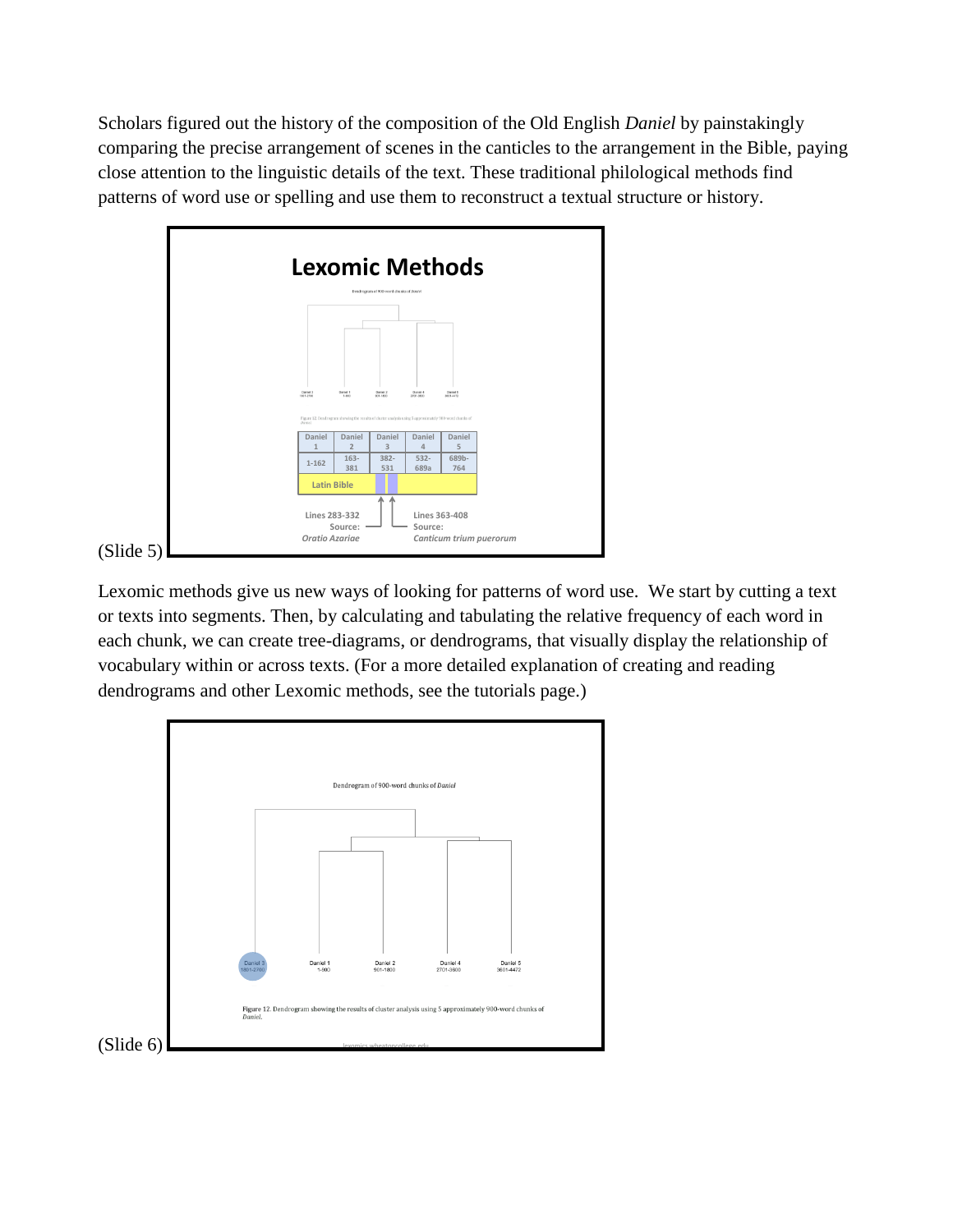Scholars figured out the history of the composition of the Old English *Daniel* by painstakingly comparing the precise arrangement of scenes in the canticles to the arrangement in the Bible, paying close attention to the linguistic details of the text. These traditional philological methods find patterns of word use or spelling and use them to reconstruct a textual structure or history.



Lexomic methods give us new ways of looking for patterns of word use. We start by cutting a text or texts into segments. Then, by calculating and tabulating the relative frequency of each word in each chunk, we can create tree-diagrams, or dendrograms, that visually display the relationship of vocabulary within or across texts. (For a more detailed explanation of creating and reading dendrograms and other Lexomic methods, see the tutorials page.)

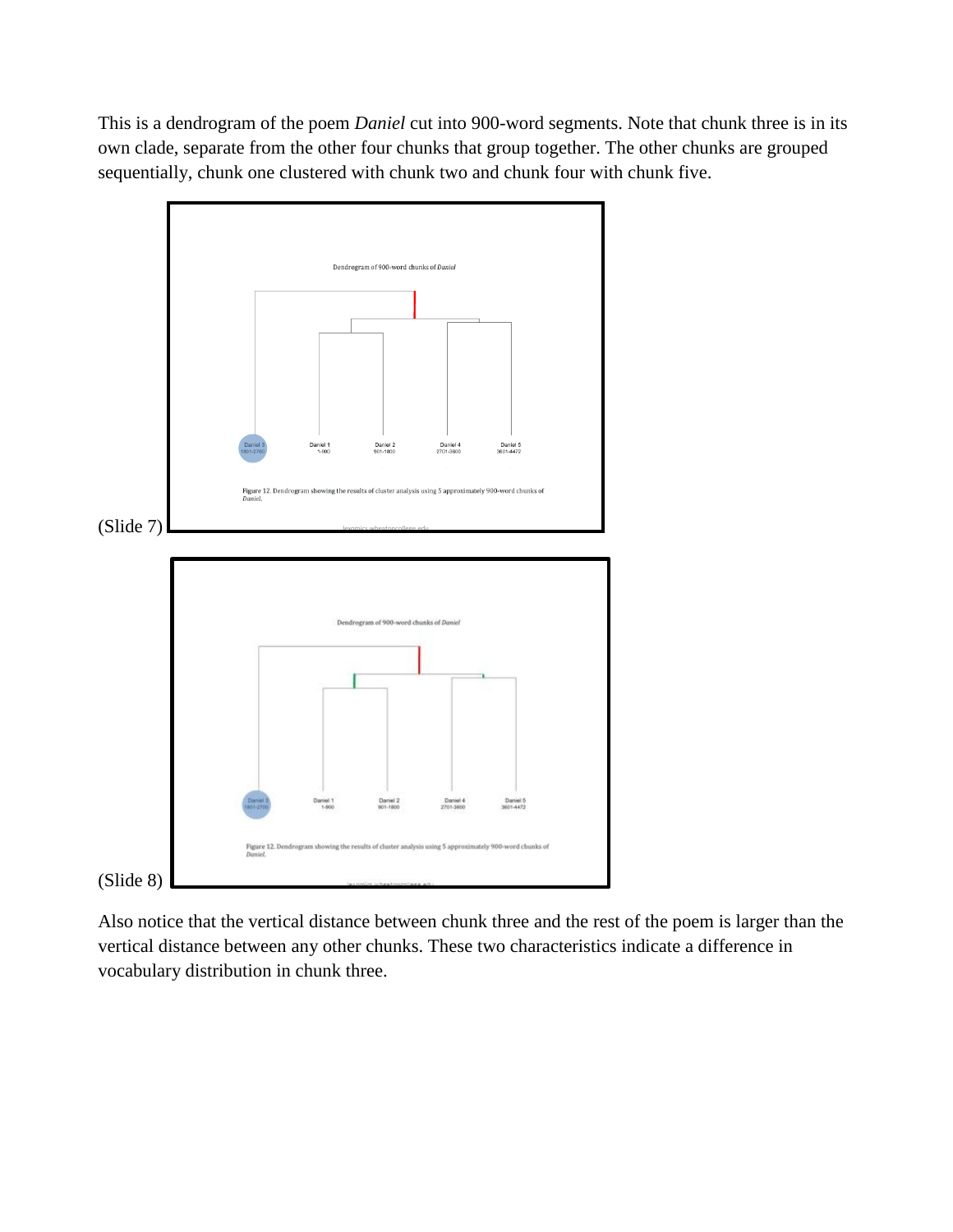This is a dendrogram of the poem *Daniel* cut into 900-word segments. Note that chunk three is in its own clade, separate from the other four chunks that group together. The other chunks are grouped sequentially, chunk one clustered with chunk two and chunk four with chunk five.



Also notice that the vertical distance between chunk three and the rest of the poem is larger than the vertical distance between any other chunks. These two characteristics indicate a difference in vocabulary distribution in chunk three.